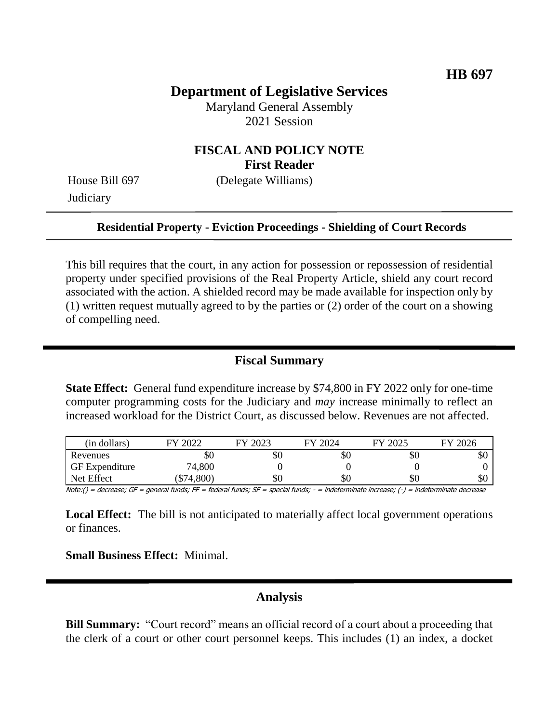# **Department of Legislative Services**

Maryland General Assembly 2021 Session

## **FISCAL AND POLICY NOTE First Reader**

**Judiciary** 

House Bill 697 (Delegate Williams)

#### **Residential Property - Eviction Proceedings - Shielding of Court Records**

This bill requires that the court, in any action for possession or repossession of residential property under specified provisions of the Real Property Article, shield any court record associated with the action. A shielded record may be made available for inspection only by (1) written request mutually agreed to by the parties or (2) order of the court on a showing of compelling need.

### **Fiscal Summary**

**State Effect:** General fund expenditure increase by \$74,800 in FY 2022 only for one-time computer programming costs for the Judiciary and *may* increase minimally to reflect an increased workload for the District Court, as discussed below. Revenues are not affected.

| (in dollars)          | $\frac{1}{2022}$<br>FV | FY 2023 | FY 2024 | FY 2025 | FY 2026 |
|-----------------------|------------------------|---------|---------|---------|---------|
| Revenues              | ъU                     | УU      | ъU      | УU      | ЭU      |
| <b>GF</b> Expenditure | 74,800                 |         |         |         |         |
| Net Effect            | \$74,800               | SО      | DС      | УC      | \$0     |

Note:() = decrease; GF = general funds; FF = federal funds; SF = special funds; - = indeterminate increase; (-) = indeterminate decrease

**Local Effect:** The bill is not anticipated to materially affect local government operations or finances.

**Small Business Effect:** Minimal.

### **Analysis**

**Bill Summary:** "Court record" means an official record of a court about a proceeding that the clerk of a court or other court personnel keeps. This includes (1) an index, a docket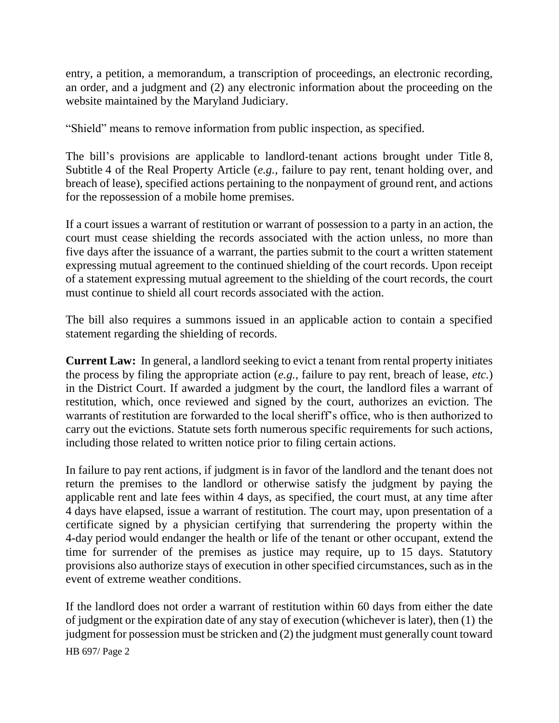entry, a petition, a memorandum, a transcription of proceedings, an electronic recording, an order, and a judgment and (2) any electronic information about the proceeding on the website maintained by the Maryland Judiciary.

"Shield" means to remove information from public inspection, as specified.

The bill's provisions are applicable to landlord-tenant actions brought under Title 8, Subtitle 4 of the Real Property Article (*e.g.,* failure to pay rent, tenant holding over, and breach of lease), specified actions pertaining to the nonpayment of ground rent, and actions for the repossession of a mobile home premises.

If a court issues a warrant of restitution or warrant of possession to a party in an action, the court must cease shielding the records associated with the action unless, no more than five days after the issuance of a warrant, the parties submit to the court a written statement expressing mutual agreement to the continued shielding of the court records. Upon receipt of a statement expressing mutual agreement to the shielding of the court records, the court must continue to shield all court records associated with the action.

The bill also requires a summons issued in an applicable action to contain a specified statement regarding the shielding of records.

**Current Law:** In general, a landlord seeking to evict a tenant from rental property initiates the process by filing the appropriate action (*e.g.,* failure to pay rent, breach of lease, *etc.*) in the District Court. If awarded a judgment by the court, the landlord files a warrant of restitution, which, once reviewed and signed by the court, authorizes an eviction. The warrants of restitution are forwarded to the local sheriff's office, who is then authorized to carry out the evictions. Statute sets forth numerous specific requirements for such actions, including those related to written notice prior to filing certain actions.

In failure to pay rent actions, if judgment is in favor of the landlord and the tenant does not return the premises to the landlord or otherwise satisfy the judgment by paying the applicable rent and late fees within 4 days, as specified, the court must, at any time after 4 days have elapsed, issue a warrant of restitution. The court may, upon presentation of a certificate signed by a physician certifying that surrendering the property within the 4-day period would endanger the health or life of the tenant or other occupant, extend the time for surrender of the premises as justice may require, up to 15 days. Statutory provisions also authorize stays of execution in other specified circumstances, such as in the event of extreme weather conditions.

If the landlord does not order a warrant of restitution within 60 days from either the date of judgment or the expiration date of any stay of execution (whichever is later), then (1) the judgment for possession must be stricken and (2) the judgment must generally count toward

HB 697/ Page 2